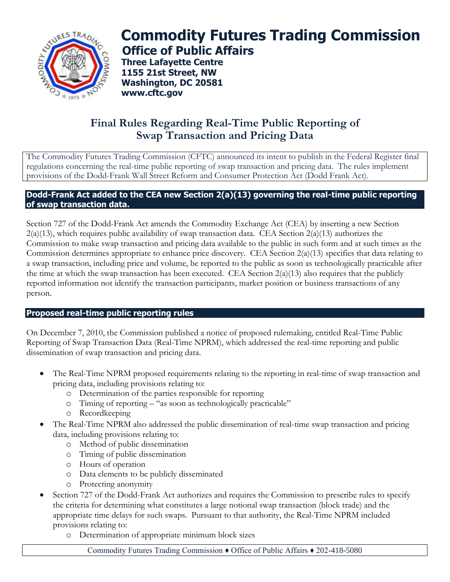

# **Commodity Futures Trading Commission Office of Public Affairs**

**Three Lafayette Centre 1155 21st Street, NW Washington, DC 20581 www.cftc.gov**

## **Final Rules Regarding Real-Time Public Reporting of Swap Transaction and Pricing Data**

The Commodity Futures Trading Commission (CFTC) announced its intent to publish in the Federal Register final regulations concerning the real-time public reporting of swap transaction and pricing data. The rules implement provisions of the Dodd-Frank Wall Street Reform and Consumer Protection Act (Dodd Frank Act).

#### **Dodd-Frank Act added to the CEA new Section 2(a)(13) governing the real-time public reporting of swap transaction data.**

Section 727 of the Dodd-Frank Act amends the Commodity Exchange Act (CEA) by inserting a new Section  $2(a)(13)$ , which requires public availability of swap transaction data. CEA Section  $2(a)(13)$  authorizes the Commission to make swap transaction and pricing data available to the public in such form and at such times as the Commission determines appropriate to enhance price discovery. CEA Section 2(a)(13) specifies that data relating to a swap transaction, including price and volume, be reported to the public as soon as technologically practicable after the time at which the swap transaction has been executed. CEA Section  $2(a)(13)$  also requires that the publicly reported information not identify the transaction participants, market position or business transactions of any person.

### **Proposed real-time public reporting rules**

On December 7, 2010, the Commission published a notice of proposed rulemaking, entitled Real-Time Public Reporting of Swap Transaction Data (Real-Time NPRM), which addressed the real-time reporting and public dissemination of swap transaction and pricing data.

- The Real-Time NPRM proposed requirements relating to the reporting in real-time of swap transaction and pricing data, including provisions relating to:
	- o Determination of the parties responsible for reporting
	- o Timing of reporting "as soon as technologically practicable"
	- o Recordkeeping
- The Real-Time NPRM also addressed the public dissemination of real-time swap transaction and pricing data, including provisions relating to:
	- o Method of public dissemination
	- o Timing of public dissemination
	- o Hours of operation
	- o Data elements to be publicly disseminated
	- o Protecting anonymity
- Section 727 of the Dodd-Frank Act authorizes and requires the Commission to prescribe rules to specify the criteria for determining what constitutes a large notional swap transaction (block trade) and the appropriate time delays for such swaps. Pursuant to that authority, the Real-Time NPRM included provisions relating to:
	- o Determination of appropriate minimum block sizes